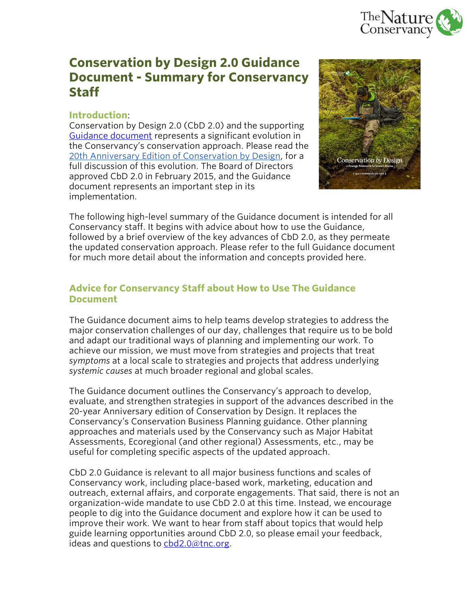

# **Conservation by Design 2.0 Guidance Document - Summary for Conservancy Staff**

### **Introduction**:

Conservation by Design 2.0 (CbD 2.0) and the supporting [Guidance document](http://www.conservationgateway.org/ConservationPlanning/cbd/Documents/CbD2.0_Guidance%20Doc_Version%201.pdf) represents a significant evolution in the Conservancy's conservation approach. Please read the [20th Anniversary Edition of Conservation by Design,](http://www.nature.org/media/aboutus/conservation-by-design-20th-anniversary-edition.pdf) for a full discussion of this evolution. The Board of Directors approved CbD 2.0 in February 2015, and the Guidance document represents an important step in its implementation.



The following high-level summary of the Guidance document is intended for all Conservancy staff. It begins with advice about how to use the Guidance, followed by a brief overview of the key advances of CbD 2.0, as they permeate the updated conservation approach. Please refer to the full Guidance document for much more detail about the information and concepts provided here.

# **Advice for Conservancy Staff about How to Use The Guidance Document**

The Guidance document aims to help teams develop strategies to address the major conservation challenges of our day, challenges that require us to be bold and adapt our traditional ways of planning and implementing our work. To achieve our mission, we must move from strategies and projects that treat *symptoms* at a local scale to strategies and projects that address underlying *systemic causes* at much broader regional and global scales.

The Guidance document outlines the Conservancy's approach to develop, evaluate, and strengthen strategies in support of the advances described in the 20-year Anniversary edition of Conservation by Design. It replaces the Conservancy's Conservation Business Planning guidance. Other planning approaches and materials used by the Conservancy such as Major Habitat Assessments, Ecoregional (and other regional) Assessments, etc., may be useful for completing specific aspects of the updated approach.

CbD 2.0 Guidance is relevant to all major business functions and scales of Conservancy work, including place-based work, marketing, education and outreach, external affairs, and corporate engagements. That said, there is not an organization-wide mandate to use CbD 2.0 at this time. Instead, we encourage people to dig into the Guidance document and explore how it can be used to improve their work. We want to hear from staff about topics that would help guide learning opportunities around CbD 2.0, so please email your feedback, ideas and questions to  $cbd2.0@$ tnc.org.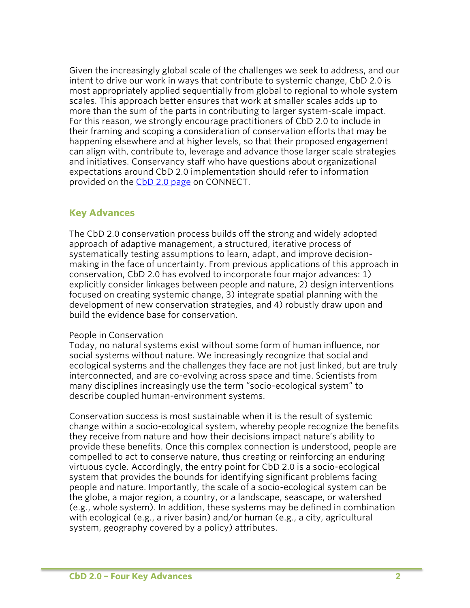Given the increasingly global scale of the challenges we seek to address, and our intent to drive our work in ways that contribute to systemic change, CbD 2.0 is most appropriately applied sequentially from global to regional to whole system scales. This approach better ensures that work at smaller scales adds up to more than the sum of the parts in contributing to larger system-scale impact. For this reason, we strongly encourage practitioners of CbD 2.0 to include in their framing and scoping a consideration of conservation efforts that may be happening elsewhere and at higher levels, so that their proposed engagement can align with, contribute to, leverage and advance those larger scale strategies and initiatives. Conservancy staff who have questions about organizational expectations around CbD 2.0 implementation should refer to information provided on the [CbD 2.0 page](https://connect.tnc.org/sites/CBDR/CbDRefresh/Pages/Home.aspx) on CONNECT.

# **Key Advances**

The CbD 2.0 conservation process builds off the strong and widely adopted approach of adaptive management, a structured, iterative process of systematically testing assumptions to learn, adapt, and improve decisionmaking in the face of uncertainty. From previous applications of this approach in conservation, CbD 2.0 has evolved to incorporate four major advances: 1) explicitly consider linkages between people and nature, 2) design interventions focused on creating systemic change, 3) integrate spatial planning with the development of new conservation strategies, and 4) robustly draw upon and build the evidence base for conservation.

#### People in Conservation

Today, no natural systems exist without some form of human influence, nor social systems without nature. We increasingly recognize that social and ecological systems and the challenges they face are not just linked, but are truly interconnected, and are co-evolving across space and time. Scientists from many disciplines increasingly use the term "socio-ecological system" to describe coupled human-environment systems.

Conservation success is most sustainable when it is the result of systemic change within a socio-ecological system, whereby people recognize the benefits they receive from nature and how their decisions impact nature's ability to provide these benefits. Once this complex connection is understood, people are compelled to act to conserve nature, thus creating or reinforcing an enduring virtuous cycle. Accordingly, the entry point for CbD 2.0 is a socio-ecological system that provides the bounds for identifying significant problems facing people and nature. Importantly, the scale of a socio-ecological system can be the globe, a major region, a country, or a landscape, seascape, or watershed (e.g., whole system). In addition, these systems may be defined in combination with ecological (e.g., a river basin) and/or human (e.g., a city, agricultural system, geography covered by a policy) attributes.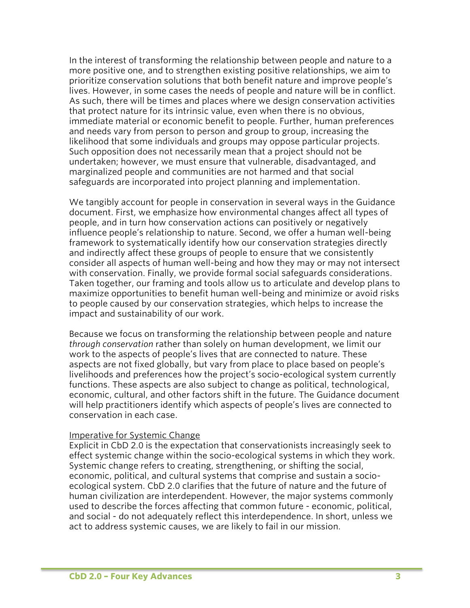In the interest of transforming the relationship between people and nature to a more positive one, and to strengthen existing positive relationships, we aim to prioritize conservation solutions that both benefit nature and improve people's lives. However, in some cases the needs of people and nature will be in conflict. As such, there will be times and places where we design conservation activities that protect nature for its intrinsic value, even when there is no obvious, immediate material or economic benefit to people. Further, human preferences and needs vary from person to person and group to group, increasing the likelihood that some individuals and groups may oppose particular projects. Such opposition does not necessarily mean that a project should not be undertaken; however, we must ensure that vulnerable, disadvantaged, and marginalized people and communities are not harmed and that social safeguards are incorporated into project planning and implementation.

We tangibly account for people in conservation in several ways in the Guidance document. First, we emphasize how environmental changes affect all types of people, and in turn how conservation actions can positively or negatively influence people's relationship to nature. Second, we offer a human well-being framework to systematically identify how our conservation strategies directly and indirectly affect these groups of people to ensure that we consistently consider all aspects of human well-being and how they may or may not intersect with conservation. Finally, we provide formal social safeguards considerations. Taken together, our framing and tools allow us to articulate and develop plans to maximize opportunities to benefit human well-being and minimize or avoid risks to people caused by our conservation strategies, which helps to increase the impact and sustainability of our work.

Because we focus on transforming the relationship between people and nature *through conservation* rather than solely on human development, we limit our work to the aspects of people's lives that are connected to nature. These aspects are not fixed globally, but vary from place to place based on people's livelihoods and preferences how the project's socio-ecological system currently functions. These aspects are also subject to change as political, technological, economic, cultural, and other factors shift in the future. The Guidance document will help practitioners identify which aspects of people's lives are connected to conservation in each case.

#### Imperative for Systemic Change

Explicit in CbD 2.0 is the expectation that conservationists increasingly seek to effect systemic change within the socio-ecological systems in which they work. Systemic change refers to creating, strengthening, or shifting the social, economic, political, and cultural systems that comprise and sustain a socioecological system. CbD 2.0 clarifies that the future of nature and the future of human civilization are interdependent. However, the major systems commonly used to describe the forces affecting that common future - economic, political, and social - do not adequately reflect this interdependence. In short, unless we act to address systemic causes, we are likely to fail in our mission.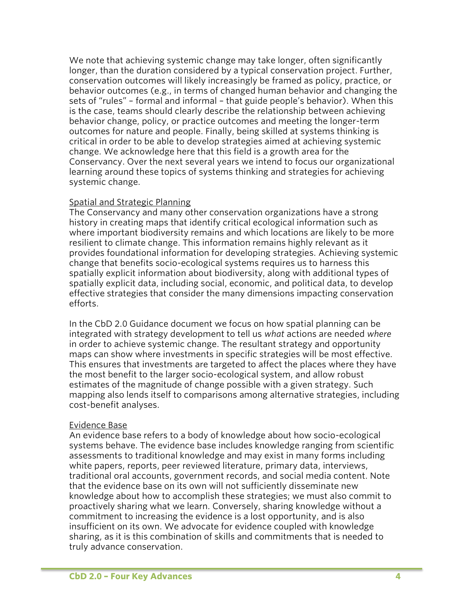We note that achieving systemic change may take longer, often significantly longer, than the duration considered by a typical conservation project. Further, conservation outcomes will likely increasingly be framed as policy, practice, or behavior outcomes (e.g., in terms of changed human behavior and changing the sets of "rules" – formal and informal – that guide people's behavior). When this is the case, teams should clearly describe the relationship between achieving behavior change, policy, or practice outcomes and meeting the longer-term outcomes for nature and people. Finally, being skilled at systems thinking is critical in order to be able to develop strategies aimed at achieving systemic change. We acknowledge here that this field is a growth area for the Conservancy. Over the next several years we intend to focus our organizational learning around these topics of systems thinking and strategies for achieving systemic change.

#### Spatial and Strategic Planning

The Conservancy and many other conservation organizations have a strong history in creating maps that identify critical ecological information such as where important biodiversity remains and which locations are likely to be more resilient to climate change. This information remains highly relevant as it provides foundational information for developing strategies. Achieving systemic change that benefits socio-ecological systems requires us to harness this spatially explicit information about biodiversity, along with additional types of spatially explicit data, including social, economic, and political data, to develop effective strategies that consider the many dimensions impacting conservation efforts.

In the CbD 2.0 Guidance document we focus on how spatial planning can be integrated with strategy development to tell us *what* actions are needed *where* in order to achieve systemic change. The resultant strategy and opportunity maps can show where investments in specific strategies will be most effective. This ensures that investments are targeted to affect the places where they have the most benefit to the larger socio-ecological system, and allow robust estimates of the magnitude of change possible with a given strategy. Such mapping also lends itself to comparisons among alternative strategies, including cost-benefit analyses.

#### Evidence Base

An evidence base refers to a body of knowledge about how socio-ecological systems behave. The evidence base includes knowledge ranging from scientific assessments to traditional knowledge and may exist in many forms including white papers, reports, peer reviewed literature, primary data, interviews, traditional oral accounts, government records, and social media content. Note that the evidence base on its own will not sufficiently disseminate new knowledge about how to accomplish these strategies; we must also commit to proactively sharing what we learn. Conversely, sharing knowledge without a commitment to increasing the evidence is a lost opportunity, and is also insufficient on its own. We advocate for evidence coupled with knowledge sharing, as it is this combination of skills and commitments that is needed to truly advance conservation.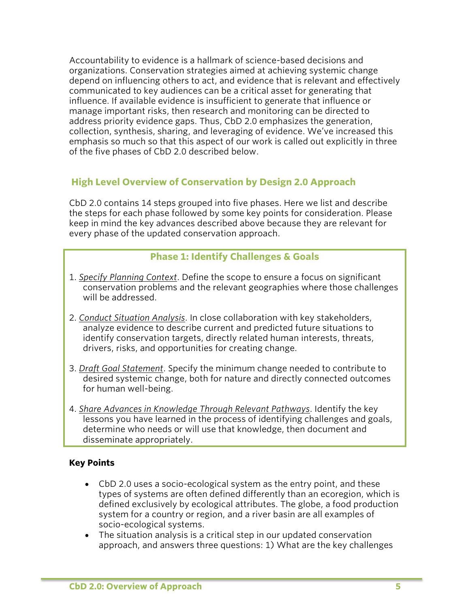Accountability to evidence is a hallmark of science-based decisions and organizations. Conservation strategies aimed at achieving systemic change depend on influencing others to act, and evidence that is relevant and effectively communicated to key audiences can be a critical asset for generating that influence. If available evidence is insufficient to generate that influence or manage important risks, then research and monitoring can be directed to address priority evidence gaps. Thus, CbD 2.0 emphasizes the generation, collection, synthesis, sharing, and leveraging of evidence. We've increased this emphasis so much so that this aspect of our work is called out explicitly in three of the five phases of CbD 2.0 described below.

# **High Level Overview of Conservation by Design 2.0 Approach**

CbD 2.0 contains 14 steps grouped into five phases. Here we list and describe the steps for each phase followed by some key points for consideration. Please keep in mind the key advances described above because they are relevant for every phase of the updated conservation approach.

# **Phase 1: Identify Challenges & Goals**

- 1. *Specify Planning Context*. Define the scope to ensure a focus on significant conservation problems and the relevant geographies where those challenges will be addressed.
- 2. *Conduct Situation Analysis*. In close collaboration with key stakeholders, analyze evidence to describe current and predicted future situations to identify conservation targets, directly related human interests, threats, drivers, risks, and opportunities for creating change.
- 3. *Draft Goal Statement*. Specify the minimum change needed to contribute to desired systemic change, both for nature and directly connected outcomes for human well-being.
- 4. *Share Advances in Knowledge Through Relevant Pathways*. Identify the key lessons you have learned in the process of identifying challenges and goals, determine who needs or will use that knowledge, then document and disseminate appropriately.

## **Key Points**

- CbD 2.0 uses a socio-ecological system as the entry point, and these types of systems are often defined differently than an ecoregion, which is defined exclusively by ecological attributes. The globe, a food production system for a country or region, and a river basin are all examples of socio-ecological systems.
- The situation analysis is a critical step in our updated conservation approach, and answers three questions: 1) What are the key challenges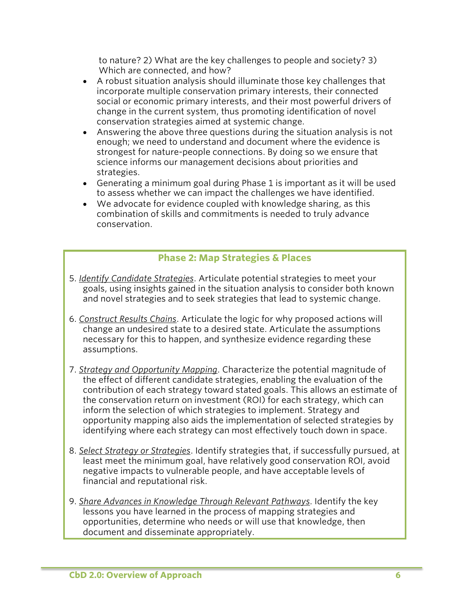to nature? 2) What are the key challenges to people and society? 3) Which are connected, and how?

- A robust situation analysis should illuminate those key challenges that incorporate multiple conservation primary interests, their connected social or economic primary interests, and their most powerful drivers of change in the current system, thus promoting identification of novel conservation strategies aimed at systemic change.
- Answering the above three questions during the situation analysis is not enough; we need to understand and document where the evidence is strongest for nature-people connections. By doing so we ensure that science informs our management decisions about priorities and strategies.
- Generating a minimum goal during Phase 1 is important as it will be used to assess whether we can impact the challenges we have identified.
- We advocate for evidence coupled with knowledge sharing, as this combination of skills and commitments is needed to truly advance conservation.

# **Phase 2: Map Strategies & Places**

- 5. *Identify Candidate Strategies*. Articulate potential strategies to meet your goals, using insights gained in the situation analysis to consider both known and novel strategies and to seek strategies that lead to systemic change.
- 6. *Construct Results Chains*. Articulate the logic for why proposed actions will change an undesired state to a desired state. Articulate the assumptions necessary for this to happen, and synthesize evidence regarding these assumptions.
- 7. *Strategy and Opportunity Mapping*. Characterize the potential magnitude of the effect of different candidate strategies, enabling the evaluation of the contribution of each strategy toward stated goals. This allows an estimate of the conservation return on investment (ROI) for each strategy, which can inform the selection of which strategies to implement. Strategy and opportunity mapping also aids the implementation of selected strategies by identifying where each strategy can most effectively touch down in space.
- 8. *Select Strategy or Strategies*. Identify strategies that, if successfully pursued, at least meet the minimum goal, have relatively good conservation ROI, avoid negative impacts to vulnerable people, and have acceptable levels of financial and reputational risk.
- 9. *Share Advances in Knowledge Through Relevant Pathways*. Identify the key lessons you have learned in the process of mapping strategies and opportunities, determine who needs or will use that knowledge, then document and disseminate appropriately.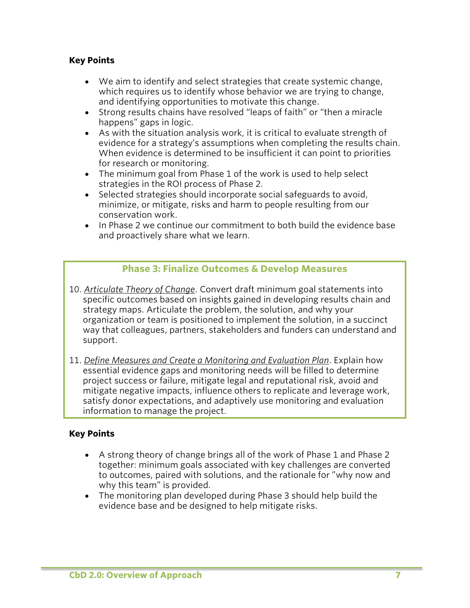## **Key Points**

- We aim to identify and select strategies that create systemic change, which requires us to identify whose behavior we are trying to change, and identifying opportunities to motivate this change.
- Strong results chains have resolved "leaps of faith" or "then a miracle happens" gaps in logic.
- As with the situation analysis work, it is critical to evaluate strength of evidence for a strategy's assumptions when completing the results chain. When evidence is determined to be insufficient it can point to priorities for research or monitoring.
- The minimum goal from Phase 1 of the work is used to help select strategies in the ROI process of Phase 2.
- Selected strategies should incorporate social safeguards to avoid, minimize, or mitigate, risks and harm to people resulting from our conservation work.
- In Phase 2 we continue our commitment to both build the evidence base and proactively share what we learn.

## **Phase 3: Finalize Outcomes & Develop Measures**

- 10. *Articulate Theory of Change*. Convert draft minimum goal statements into specific outcomes based on insights gained in developing results chain and strategy maps. Articulate the problem, the solution, and why your organization or team is positioned to implement the solution, in a succinct way that colleagues, partners, stakeholders and funders can understand and support.
- 11. *Define Measures and Create a Monitoring and Evaluation Plan*. Explain how essential evidence gaps and monitoring needs will be filled to determine project success or failure, mitigate legal and reputational risk, avoid and mitigate negative impacts, influence others to replicate and leverage work, satisfy donor expectations, and adaptively use monitoring and evaluation information to manage the project.

#### **Key Points**

- A strong theory of change brings all of the work of Phase 1 and Phase 2 together: minimum goals associated with key challenges are converted to outcomes, paired with solutions, and the rationale for "why now and why this team" is provided.
- The monitoring plan developed during Phase 3 should help build the evidence base and be designed to help mitigate risks.